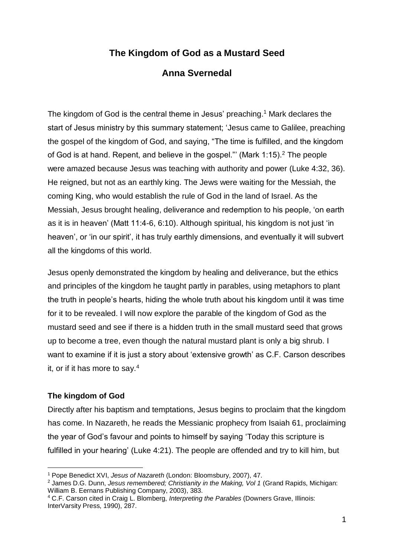# **The Kingdom of God as a Mustard Seed**

## **Anna Svernedal**

The kingdom of God is the central theme in Jesus' preaching.<sup>1</sup> Mark declares the start of Jesus ministry by this summary statement; 'Jesus came to Galilee, preaching the gospel of the kingdom of God, and saying, "The time is fulfilled, and the kingdom of God is at hand. Repent, and believe in the gospel." (Mark 1:15). <sup>2</sup> The people were amazed because Jesus was teaching with authority and power (Luke 4:32, 36). He reigned, but not as an earthly king. The Jews were waiting for the Messiah, the coming King, who would establish the rule of God in the land of Israel. As the Messiah, Jesus brought healing, deliverance and redemption to his people, 'on earth as it is in heaven' (Matt 11:4-6, 6:10). Although spiritual, his kingdom is not just 'in heaven', or 'in our spirit', it has truly earthly dimensions, and eventually it will subvert all the kingdoms of this world.

Jesus openly demonstrated the kingdom by healing and deliverance, but the ethics and principles of the kingdom he taught partly in parables, using metaphors to plant the truth in people's hearts, hiding the whole truth about his kingdom until it was time for it to be revealed. I will now explore the parable of the kingdom of God as the mustard seed and see if there is a hidden truth in the small mustard seed that grows up to become a tree, even though the natural mustard plant is only a big shrub. I want to examine if it is just a story about 'extensive growth' as C.F. Carson describes it, or if it has more to say.<sup>4</sup>

#### **The kingdom of God**

1

Directly after his baptism and temptations, Jesus begins to proclaim that the kingdom has come. In Nazareth, he reads the Messianic prophecy from Isaiah 61, proclaiming the year of God's favour and points to himself by saying 'Today this scripture is fulfilled in your hearing' (Luke 4:21). The people are offended and try to kill him, but

<sup>1</sup> Pope Benedict XVI, *Jesus of Nazareth* (London: Bloomsbury, 2007), 47.

<sup>2</sup> James D.G. Dunn, *Jesus remembered; Christianity in the Making, Vol 1* (Grand Rapids, Michigan: William B. Eernans Publishing Company, 2003), 383.

<sup>4</sup> C.F. Carson cited in Craig L. Blomberg, *Interpreting the Parables* (Downers Grave, Illinois: InterVarsity Press, 1990), 287.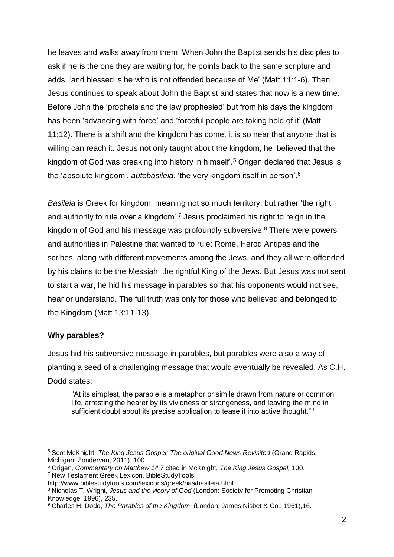he leaves and walks away from them. When John the Baptist sends his disciples to ask if he is the one they are waiting for, he points back to the same scripture and adds, 'and blessed is he who is not offended because of Me' (Matt 11:1-6). Then Jesus continues to speak about John the Baptist and states that now is a new time. Before John the 'prophets and the law prophesied' but from his days the kingdom has been 'advancing with force' and 'forceful people are taking hold of it' (Matt 11:12). There is a shift and the kingdom has come, it is so near that anyone that is willing can reach it. Jesus not only taught about the kingdom, he 'believed that the kingdom of God was breaking into history in himself'.<sup>5</sup> Origen declared that Jesus is the 'absolute kingdom', *autobasileia*, 'the very kingdom itself in person'.<sup>6</sup>

*Basileia* is Greek for kingdom, meaning not so much territory, but rather 'the right and authority to rule over a kingdom<sup>'7</sup> Jesus proclaimed his right to reign in the kingdom of God and his message was profoundly subversive.<sup>8</sup> There were powers and authorities in Palestine that wanted to rule: Rome, Herod Antipas and the scribes, along with different movements among the Jews, and they all were offended by his claims to be the Messiah, the rightful King of the Jews. But Jesus was not sent to start a war, he hid his message in parables so that his opponents would not see, hear or understand. The full truth was only for those who believed and belonged to the Kingdom (Matt 13:11-13).

#### **Why parables?**

1

Jesus hid his subversive message in parables, but parables were also a way of planting a seed of a challenging message that would eventually be revealed. As C.H. Dodd states:

"At its simplest, the parable is a metaphor or simile drawn from nature or common life, arresting the hearer by its vividness or strangeness, and leaving the mind in sufficient doubt about its precise application to tease it into active thought."<sup>9</sup>

<sup>5</sup> Scot McKnight, *The King Jesus Gospel; The original Good News Revisited* (Grand Rapids, Michigan: Zondervan, 2011), 100.

<sup>6</sup> Origen, *Commentary on Matthew 14.7* cited in McKnight, *The King Jesus Gospel,* 100. <sup>7</sup> New Testament Greek Lexicon, BibleStudyTools,

http://www.biblestudytools.com/lexicons/greek/nas/basileia.html.

<sup>8</sup> Nicholas T. Wright, *Jesus and the vicory of God* (London: Society for Promoting Christian Knowledge, 1996), 235.

<sup>9</sup> Charles H. Dodd, *The Parables of the Kingdom*, (London: James Nisbet & Co., 1961),16.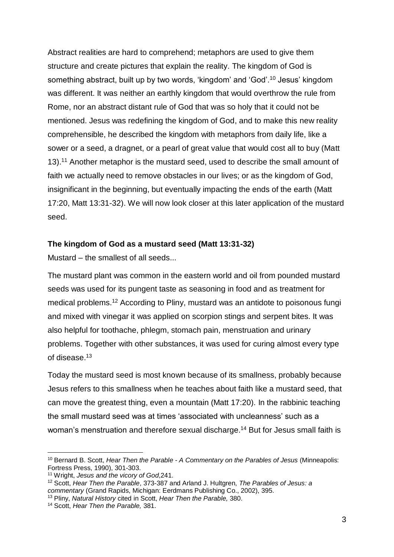Abstract realities are hard to comprehend; metaphors are used to give them structure and create pictures that explain the reality. The kingdom of God is something abstract, built up by two words, 'kingdom' and 'God'.<sup>10</sup> Jesus' kingdom was different. It was neither an earthly kingdom that would overthrow the rule from Rome, nor an abstract distant rule of God that was so holy that it could not be mentioned. Jesus was redefining the kingdom of God, and to make this new reality comprehensible, he described the kingdom with metaphors from daily life, like a sower or a seed, a dragnet, or a pearl of great value that would cost all to buy (Matt 13). <sup>11</sup> Another metaphor is the mustard seed, used to describe the small amount of faith we actually need to remove obstacles in our lives; or as the kingdom of God, insignificant in the beginning, but eventually impacting the ends of the earth (Matt 17:20, Matt 13:31-32). We will now look closer at this later application of the mustard seed.

#### **The kingdom of God as a mustard seed (Matt 13:31-32)**

Mustard – the smallest of all seeds...

The mustard plant was common in the eastern world and oil from pounded mustard seeds was used for its pungent taste as seasoning in food and as treatment for medical problems.<sup>12</sup> According to Pliny, mustard was an antidote to poisonous fungi and mixed with vinegar it was applied on scorpion stings and serpent bites. It was also helpful for toothache, phlegm, stomach pain, menstruation and urinary problems. Together with other substances, it was used for curing almost every type of disease.<sup>13</sup>

Today the mustard seed is most known because of its smallness, probably because Jesus refers to this smallness when he teaches about faith like a mustard seed, that can move the greatest thing, even a mountain (Matt 17:20). In the rabbinic teaching the small mustard seed was at times 'associated with uncleanness' such as a woman's menstruation and therefore sexual discharge.<sup>14</sup> But for Jesus small faith is

1

<sup>10</sup> Bernard B. Scott, *Hear Then the Parable - A Commentary on the Parables of Jesus* (Minneapolis: Fortress Press, 1990), 301-303.

<sup>11</sup> Wright, *Jesus and the vicory of God*,241.

<sup>12</sup> Scott, *Hear Then the Parable*, 373-387 and Arland J. Hultgren, *The Parables of Jesus: a commentary* (Grand Rapids, Michigan: Eerdmans Publishing Co., 2002), 395.

<sup>13</sup> Pliny, *Natural History* cited in Scott, *Hear Then the Parable,* 380.

<sup>14</sup> Scott, *Hear Then the Parable,* 381.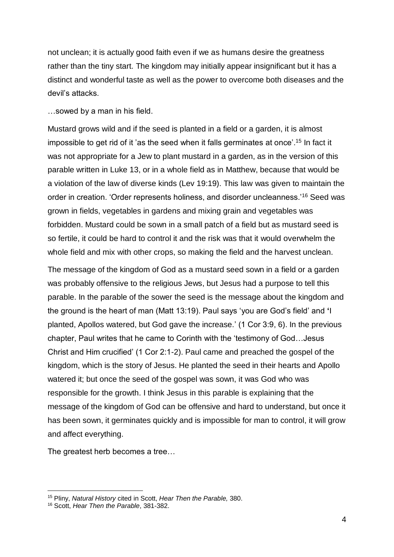not unclean; it is actually good faith even if we as humans desire the greatness rather than the tiny start. The kingdom may initially appear insignificant but it has a distinct and wonderful taste as well as the power to overcome both diseases and the devil's attacks.

…sowed by a man in his field.

Mustard grows wild and if the seed is planted in a field or a garden, it is almost impossible to get rid of it 'as the seed when it falls germinates at once'.<sup>15</sup> In fact it was not appropriate for a Jew to plant mustard in a garden, as in the version of this parable written in Luke 13, or in a whole field as in Matthew, because that would be a violation of the law of diverse kinds (Lev 19:19). This law was given to maintain the order in creation. 'Order represents holiness, and disorder uncleanness.'<sup>16</sup> Seed was grown in fields, vegetables in gardens and mixing grain and vegetables was forbidden. Mustard could be sown in a small patch of a field but as mustard seed is so fertile, it could be hard to control it and the risk was that it would overwhelm the whole field and mix with other crops, so making the field and the harvest unclean.

The message of the kingdom of God as a mustard seed sown in a field or a garden was probably offensive to the religious Jews, but Jesus had a purpose to tell this parable. In the parable of the sower the seed is the message about the kingdom and the ground is the heart of man (Matt 13:19). Paul says 'you are God's field' and **'**I planted, Apollos watered, but God gave the increase.' (1 Cor 3:9, 6). In the previous chapter, Paul writes that he came to Corinth with the 'testimony of God…Jesus Christ and Him crucified' (1 Cor 2:1-2). Paul came and preached the gospel of the kingdom, which is the story of Jesus. He planted the seed in their hearts and Apollo watered it; but once the seed of the gospel was sown, it was God who was responsible for the growth. I think Jesus in this parable is explaining that the message of the kingdom of God can be offensive and hard to understand, but once it has been sown, it germinates quickly and is impossible for man to control, it will grow and affect everything.

The greatest herb becomes a tree…

 $\overline{a}$ 

<sup>15</sup> Pliny, *Natural History* cited in Scott, *Hear Then the Parable,* 380.

<sup>16</sup> Scott, *Hear Then the Parable*, 381*-*382.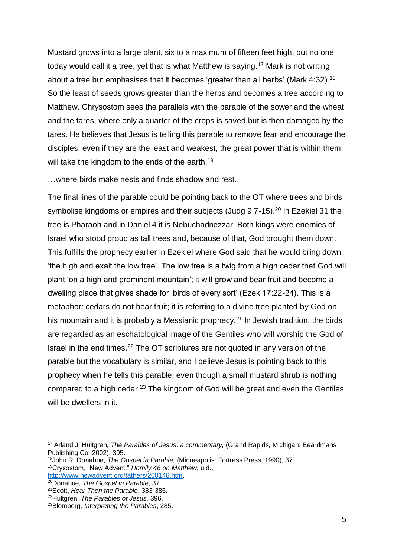Mustard grows into a large plant, six to a maximum of fifteen feet high, but no one today would call it a tree, yet that is what Matthew is saying.<sup>17</sup> Mark is not writing about a tree but emphasises that it becomes 'greater than all herbs' (Mark 4:32).<sup>18</sup> So the least of seeds grows greater than the herbs and becomes a tree according to Matthew. Chrysostom sees the parallels with the parable of the sower and the wheat and the tares, where only a quarter of the crops is saved but is then damaged by the tares. He believes that Jesus is telling this parable to remove fear and encourage the disciples; even if they are the least and weakest, the great power that is within them will take the kingdom to the ends of the earth.<sup>19</sup>

…where birds make nests and finds shadow and rest.

The final lines of the parable could be pointing back to the OT where trees and birds symbolise kingdoms or empires and their subjects (Judg 9:7-15).<sup>20</sup> In Ezekiel 31 the tree is Pharaoh and in Daniel 4 it is Nebuchadnezzar. Both kings were enemies of Israel who stood proud as tall trees and, because of that, God brought them down. This fulfills the prophecy earlier in Ezekiel where God said that he would bring down 'the high and exalt the low tree'. The low tree is a twig from a high cedar that God will plant 'on a high and prominent mountain'; it will grow and bear fruit and become a dwelling place that gives shade for 'birds of every sort' (Ezek 17:22-24). This is a metaphor: cedars do not bear fruit; it is referring to a divine tree planted by God on his mountain and it is probably a Messianic prophecy.<sup>21</sup> In Jewish tradition, the birds are regarded as an eschatological image of the Gentiles who will worship the God of Israel in the end times.<sup>22</sup> The OT scriptures are not quoted in any version of the parable but the vocabulary is similar, and I believe Jesus is pointing back to this prophecy when he tells this parable, even though a small mustard shrub is nothing compared to a high cedar.<sup>23</sup> The kingdom of God will be great and even the Gentiles will be dwellers in it.

1

<sup>17</sup> Arland J. Hultgren, *The Parables of Jesus: a commentary,* (Grand Rapids, Michigan: Eeardmans Publishing Co, 2002), 395.

<sup>18</sup>John R. Donahue, *The Gospel in Parable,* (Minneapolis: Fortress Press, 1990), 37. <sup>19</sup>Crysostom, "New Advent," *Homily 46 on Matthew*, u.d.,

[http://www.newadvent.org/fathers/200146.htm.](http://www.newadvent.org/fathers/200146.htm)

<sup>20</sup>Donahue, *The Gospel in Parable*, 37. <sup>21</sup>Scott, *Hear Then the Parable*, 383-385.

<sup>22</sup>Hultgren, *The Parables of Jesus,* 396.

<sup>23</sup>Blomberg, *Interpreting the Parables*, 285.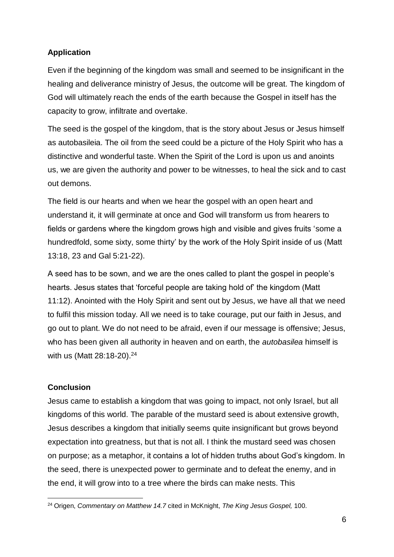## **Application**

Even if the beginning of the kingdom was small and seemed to be insignificant in the healing and deliverance ministry of Jesus, the outcome will be great. The kingdom of God will ultimately reach the ends of the earth because the Gospel in itself has the capacity to grow, infiltrate and overtake.

The seed is the gospel of the kingdom, that is the story about Jesus or Jesus himself as autobasileia. The oil from the seed could be a picture of the Holy Spirit who has a distinctive and wonderful taste. When the Spirit of the Lord is upon us and anoints us, we are given the authority and power to be witnesses, to heal the sick and to cast out demons.

The field is our hearts and when we hear the gospel with an open heart and understand it, it will germinate at once and God will transform us from hearers to fields or gardens where the kingdom grows high and visible and gives fruits 'some a hundredfold, some sixty, some thirty' by the work of the Holy Spirit inside of us (Matt 13:18, 23 and Gal 5:21-22).

A seed has to be sown, and we are the ones called to plant the gospel in people's hearts. Jesus states that 'forceful people are taking hold of' the kingdom (Matt 11:12). Anointed with the Holy Spirit and sent out by Jesus, we have all that we need to fulfil this mission today. All we need is to take courage, put our faith in Jesus, and go out to plant. We do not need to be afraid, even if our message is offensive; Jesus, who has been given all authority in heaven and on earth, the *autobasilea* himself is with us (Matt 28:18-20).<sup>24</sup>

### **Conclusion**

1

Jesus came to establish a kingdom that was going to impact, not only Israel, but all kingdoms of this world. The parable of the mustard seed is about extensive growth, Jesus describes a kingdom that initially seems quite insignificant but grows beyond expectation into greatness, but that is not all. I think the mustard seed was chosen on purpose; as a metaphor, it contains a lot of hidden truths about God's kingdom. In the seed, there is unexpected power to germinate and to defeat the enemy, and in the end, it will grow into to a tree where the birds can make nests. This

<sup>24</sup> Origen, *Commentary on Matthew 14.7* cited in McKnight, *The King Jesus Gospel,* 100.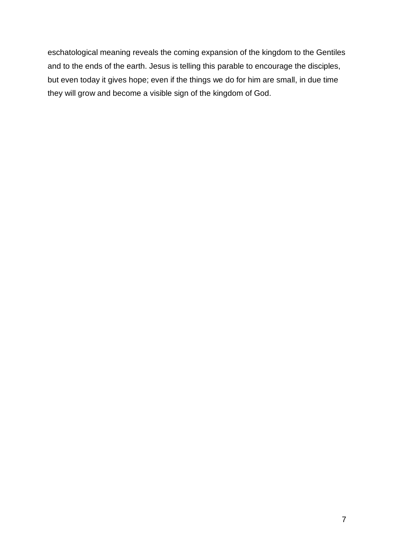eschatological meaning reveals the coming expansion of the kingdom to the Gentiles and to the ends of the earth. Jesus is telling this parable to encourage the disciples, but even today it gives hope; even if the things we do for him are small, in due time they will grow and become a visible sign of the kingdom of God.